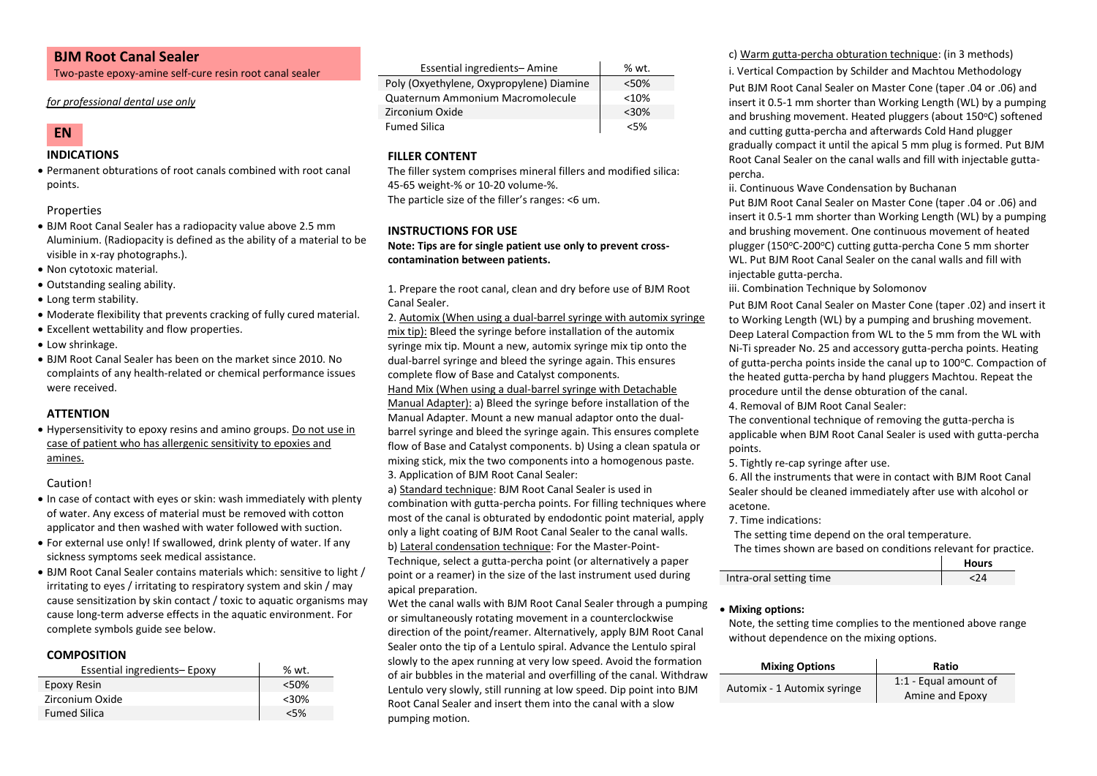## **BJM Root Canal Sealer**

Two-paste epoxy-amine self-cure resin root canal sealer

#### *for professional dental use only*



## **INDICATIONS**

• Permanent obturations of root canals combined with root canal points.

Properties

- BJM Root Canal Sealer has a radiopacity value above 2.5 mm Aluminium. (Radiopacity is defined as the ability of a material to be visible in x-ray photographs.).
- Non cytotoxic material.
- Outstanding sealing ability.
- Long term stability.
- Moderate flexibility that prevents cracking of fully cured material.
- Excellent wettability and flow properties.
- Low shrinkage.
- BJM Root Canal Sealer has been on the market since 2010. No complaints of any health-related or chemical performance issues were received.

## **ATTENTION**

• Hypersensitivity to epoxy resins and amino groups. Do not use in case of patient who has allergenic sensitivity to epoxies and amines.

## Caution!

- In case of contact with eyes or skin: wash immediately with plenty of water. Any excess of material must be removed with cotton applicator and then washed with water followed with suction.
- For external use only! If swallowed, drink plenty of water. If any sickness symptoms seek medical assistance.
- BJM Root Canal Sealer contains materials which: sensitive to light / irritating to eyes / irritating to respiratory system and skin / may cause sensitization by skin contact / toxic to aquatic organisms may cause long-term adverse effects in the aquatic environment. For complete symbols guide see below.

## **COMPOSITION**

| Essential ingredients-Epoxy | % wt.   |
|-----------------------------|---------|
| Epoxy Resin                 | < 50%   |
| Zirconium Oxide             | $<$ 30% |
| <b>Fumed Silica</b>         | $<$ 5%  |

| Essential ingredients-Amine              | % wt.   |
|------------------------------------------|---------|
| Poly (Oxyethylene, Oxypropylene) Diamine | < 50%   |
| Quaternum Ammonium Macromolecule         | < 10%   |
| Zirconium Oxide                          | $<$ 30% |
| <b>Fumed Silica</b>                      | $<$ 5%  |

## **FILLER CONTENT**

The filler system comprises mineral fillers and modified silica: 45-65 weight-% or 10-20 volume-%. The particle size of the filler's ranges: <6 um.

## **INSTRUCTIONS FOR USE**

**Note: Tips are for single patient use only to prevent crosscontamination between patients.**

1. Prepare the root canal, clean and dry before use of BJM Root Canal Sealer.

2. Automix (When using a dual-barrel syringe with automix syringe mix tip): Bleed the syringe before installation of the automix syringe mix tip. Mount a new, automix syringe mix tip onto the dual-barrel syringe and bleed the syringe again. This ensures complete flow of Base and Catalyst components.

## Hand Mix (When using a dual-barrel syringe with Detachable

Manual Adapter): a) Bleed the syringe before installation of the Manual Adapter. Mount a new manual adaptor onto the dualbarrel syringe and bleed the syringe again. This ensures complete flow of Base and Catalyst components. b) Using a clean spatula or mixing stick, mix the two components into a homogenous paste. 3. Application of BJM Root Canal Sealer:

a) Standard technique: BJM Root Canal Sealer is used in combination with gutta-percha points. For filling techniques where most of the canal is obturated by endodontic point material, apply only a light coating of BJM Root Canal Sealer to the canal walls. b) Lateral condensation technique: For the Master-Point-Technique, select a gutta-percha point (or alternatively a paper

point or a reamer) in the size of the last instrument used during apical preparation.

Wet the canal walls with BJM Root Canal Sealer through a pumping or simultaneously rotating movement in a counterclockwise direction of the point/reamer. Alternatively, apply BJM Root Canal Sealer onto the tip of a Lentulo spiral. Advance the Lentulo spiral slowly to the apex running at very low speed. Avoid the formation of air bubbles in the material and overfilling of the canal. Withdraw Lentulo very slowly, still running at low speed. Dip point into BJM Root Canal Sealer and insert them into the canal with a slow pumping motion.

c) Warm gutta-percha obturation technique: (in 3 methods)

i. Vertical Compaction by Schilder and Machtou Methodology Put BJM Root Canal Sealer on Master Cone (taper .04 or .06) and insert it 0.5-1 mm shorter than Working Length (WL) by a pumping and brushing movement. Heated pluggers (about 150°C) softened and cutting gutta-percha and afterwards Cold Hand plugger gradually compact it until the apical 5 mm plug is formed. Put BJM Root Canal Sealer on the canal walls and fill with injectable guttapercha.

ii. Continuous Wave Condensation by Buchanan Put BJM Root Canal Sealer on Master Cone (taper .04 or .06) and insert it 0.5-1 mm shorter than Working Length (WL) by a pumping and brushing movement. One continuous movement of heated plugger (150°C-200°C) cutting gutta-percha Cone 5 mm shorter WL. Put BJM Root Canal Sealer on the canal walls and fill with

injectable gutta-percha.

iii. Combination Technique by Solomonov

Put BJM Root Canal Sealer on Master Cone (taper .02) and insert it to Working Length (WL) by a pumping and brushing movement. Deep Lateral Compaction from WL to the 5 mm from the WL with Ni-Ti spreader No. 25 and accessory gutta-percha points. Heating of gutta-percha points inside the canal up to 100°C. Compaction of the heated gutta-percha by hand pluggers Machtou. Repeat the procedure until the dense obturation of the canal. 4. Removal of BJM Root Canal Sealer:

The conventional technique of removing the gutta-percha is applicable when BJM Root Canal Sealer is used with gutta-percha points.

5. Tightly re-cap syringe after use.

6. All the instruments that were in contact with BJM Root Canal Sealer should be cleaned immediately after use with alcohol or acetone.

#### 7. Time indications:

The setting time depend on the oral temperature.

The times shown are based on conditions relevant for practice.

|                         | <b>Hours</b> |
|-------------------------|--------------|
| Intra-oral setting time |              |

## • **Mixing options:**

Note, the setting time complies to the mentioned above range without dependence on the mixing options.

| <b>Mixing Options</b>       | Ratio                                    |
|-----------------------------|------------------------------------------|
| Automix - 1 Automix syringe | 1:1 - Equal amount of<br>Amine and Epoxy |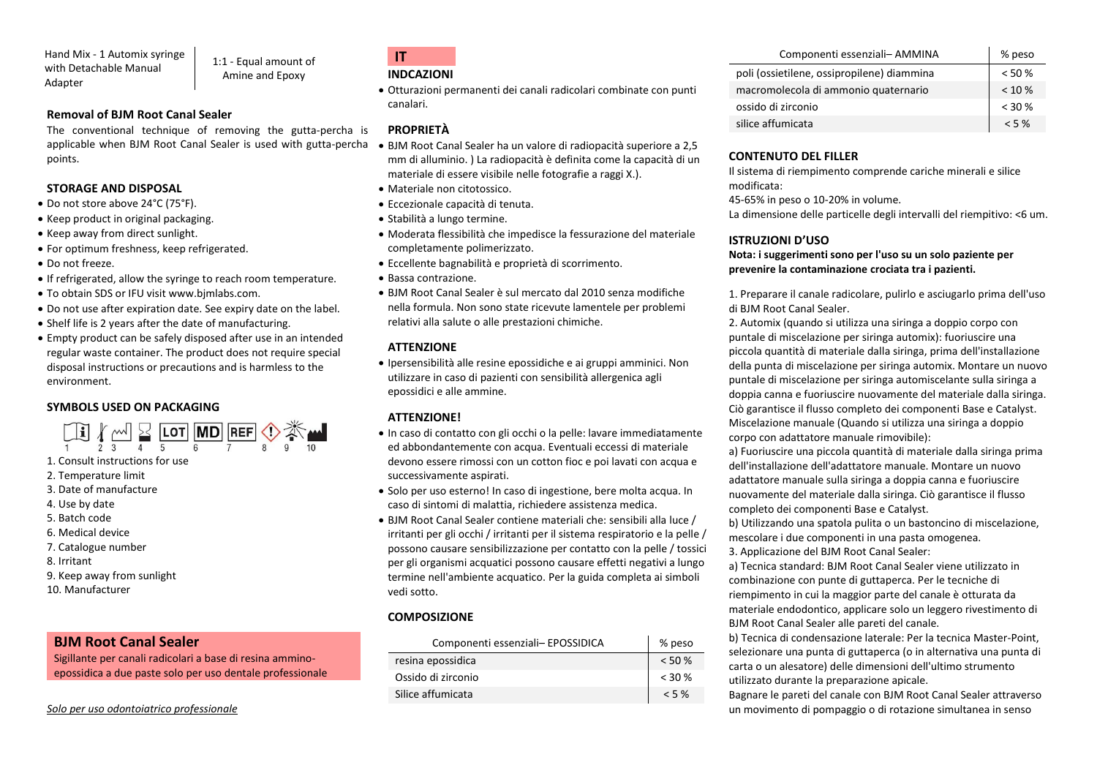Hand Mix - 1 Automix syringe with Detachable Manual Adapter

1:1 - Equal amount of Amine and Epoxy

## **Removal of BJM Root Canal Sealer**

The conventional technique of removing the gutta-percha is applicable when BJM Root Canal Sealer is used with gutta-percha points.

## **STORAGE AND DISPOSAL**

- Do not store above 24°C (75°F).
- Keep product in original packaging.
- Keep away from direct sunlight.
- For optimum freshness, keep refrigerated.
- Do not freeze.
- If refrigerated, allow the syringe to reach room temperature.
- To obtain SDS or IFU visit www.bjmlabs.com.
- Do not use after expiration date. See expiry date on the label.
- Shelf life is 2 years after the date of manufacturing.
- Empty product can be safely disposed after use in an intended regular waste container. The product does not require special disposal instructions or precautions and is harmless to the environment.

## **SYMBOLS USED ON PACKAGING**



- 1. Consult instructions for use
- 2. Temperature limit
- 3. Date of manufacture
- 4. Use by date
- 5. Batch code
- 6. Medical device
- 7. Catalogue number
- 8. Irritant
- 9. Keep away from sunlight
- 10. Manufacturer

## **BJM Root Canal Sealer**

Sigillante per canali radicolari a base di resina amminoepossidica a due paste solo per uso dentale professionale

#### *Solo per uso odontoiatrico professionale*

## **IT INDCAZIONI**

• Otturazioni permanenti dei canali radicolari combinate con punti canalari.

## **PROPRIETÀ**

- BJM Root Canal Sealer ha un valore di radiopacità superiore a 2,5 mm di alluminio. ) La radiopacità è definita come la capacità di un materiale di essere visibile nelle fotografie a raggi X.).
- Materiale non citotossico.
- Eccezionale capacità di tenuta.
- Stabilità a lungo termine.
- Moderata flessibilità che impedisce la fessurazione del materiale completamente polimerizzato.
- Eccellente bagnabilità e proprietà di scorrimento.
- Bassa contrazione.
- BJM Root Canal Sealer è sul mercato dal 2010 senza modifiche nella formula. Non sono state ricevute lamentele per problemi relativi alla salute o alle prestazioni chimiche.

## **ATTENZIONE**

• Ipersensibilità alle resine epossidiche e ai gruppi amminici. Non utilizzare in caso di pazienti con sensibilità allergenica agli epossidici e alle ammine.

## **ATTENZIONE!**

- In caso di contatto con gli occhi o la pelle: lavare immediatamente ed abbondantemente con acqua. Eventuali eccessi di materiale devono essere rimossi con un cotton fioc e poi lavati con acqua e successivamente aspirati.
- Solo per uso esterno! In caso di ingestione, bere molta acqua. In caso di sintomi di malattia, richiedere assistenza medica.
- BJM Root Canal Sealer contiene materiali che: sensibili alla luce / irritanti per gli occhi / irritanti per il sistema respiratorio e la pelle / possono causare sensibilizzazione per contatto con la pelle / tossici per gli organismi acquatici possono causare effetti negativi a lungo termine nell'ambiente acquatico. Per la guida completa ai simboli vedi sotto.

## **COMPOSIZIONE**

| Componenti essenziali- EPOSSIDICA | % peso    |
|-----------------------------------|-----------|
| resina epossidica                 | $< 50 \%$ |
| Ossido di zirconio                | $<$ 30 %  |
| Silice affumicata                 | < 5%      |

| Componenti essenziali- AMMINA              | % peso    |
|--------------------------------------------|-----------|
| poli (ossietilene, ossipropilene) diammina | < 50%     |
| macromolecola di ammonio quaternario       | $< 10 \%$ |
| ossido di zirconio                         | $< 30 \%$ |
| silice affumicata                          | $<$ 5 %   |

## **CONTENUTO DEL FILLER**

Il sistema di riempimento comprende cariche minerali e silice modificata:

45-65% in peso o 10-20% in volume.

La dimensione delle particelle degli intervalli del riempitivo: <6 um.

## **ISTRUZIONI D'USO**

**Nota: i suggerimenti sono per l'uso su un solo paziente per prevenire la contaminazione crociata tra i pazienti.**

1. Preparare il canale radicolare, pulirlo e asciugarlo prima dell'uso di BJM Root Canal Sealer.

2. Automix (quando si utilizza una siringa a doppio corpo con puntale di miscelazione per siringa automix): fuoriuscire una piccola quantità di materiale dalla siringa, prima dell'installazione della punta di miscelazione per siringa automix. Montare un nuovo puntale di miscelazione per siringa automiscelante sulla siringa a doppia canna e fuoriuscire nuovamente del materiale dalla siringa. Ciò garantisce il flusso completo dei componenti Base e Catalyst. Miscelazione manuale (Quando si utilizza una siringa a doppio corpo con adattatore manuale rimovibile):

a) Fuoriuscire una piccola quantità di materiale dalla siringa prima dell'installazione dell'adattatore manuale. Montare un nuovo adattatore manuale sulla siringa a doppia canna e fuoriuscire nuovamente del materiale dalla siringa. Ciò garantisce il flusso completo dei componenti Base e Catalyst.

b) Utilizzando una spatola pulita o un bastoncino di miscelazione, mescolare i due componenti in una pasta omogenea.

3. Applicazione del BJM Root Canal Sealer:

a) Tecnica standard: BJM Root Canal Sealer viene utilizzato in combinazione con punte di guttaperca. Per le tecniche di riempimento in cui la maggior parte del canale è otturata da materiale endodontico, applicare solo un leggero rivestimento di BJM Root Canal Sealer alle pareti del canale.

b) Tecnica di condensazione laterale: Per la tecnica Master-Point, selezionare una punta di guttaperca (o in alternativa una punta di carta o un alesatore) delle dimensioni dell'ultimo strumento utilizzato durante la preparazione apicale.

Bagnare le pareti del canale con BJM Root Canal Sealer attraverso un movimento di pompaggio o di rotazione simultanea in senso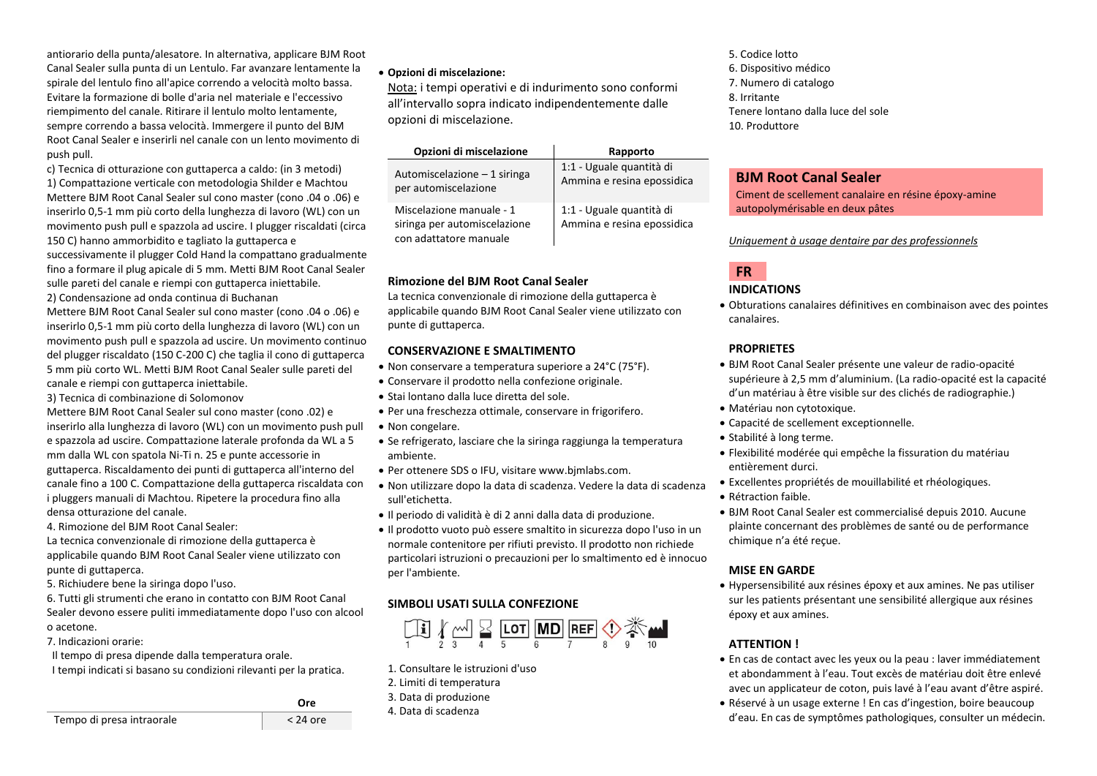antiorario della punta/alesatore. In alternativa, applicare BJM Root Canal Sealer sulla punta di un Lentulo. Far avanzare lentamente la spirale del lentulo fino all'apice correndo a velocità molto bassa. Evitare la formazione di bolle d'aria nel materiale e l'eccessivo riempimento del canale. Ritirare il lentulo molto lentamente, sempre correndo a bassa velocità. Immergere il punto del BJM Root Canal Sealer e inserirli nel canale con un lento movimento di push pull.

c) Tecnica di otturazione con guttaperca a caldo: (in 3 metodi) 1) Compattazione verticale con metodologia Shilder e Machtou Mettere BJM Root Canal Sealer sul cono master (cono .04 o .06) e inserirlo 0,5-1 mm più corto della lunghezza di lavoro (WL) con un movimento push pull e spazzola ad uscire. I plugger riscaldati (circa 150 C) hanno ammorbidito e tagliato la guttaperca e

successivamente il plugger Cold Hand la compattano gradualmente fino a formare il plug apicale di 5 mm. Metti BJM Root Canal Sealer sulle pareti del canale e riempi con guttaperca iniettabile.

2) Condensazione ad onda continua di Buchanan

Mettere BJM Root Canal Sealer sul cono master (cono .04 o .06) e inserirlo 0,5-1 mm più corto della lunghezza di lavoro (WL) con un movimento push pull e spazzola ad uscire. Un movimento continuo del plugger riscaldato (150 C-200 C) che taglia il cono di guttaperca 5 mm più corto WL. Metti BJM Root Canal Sealer sulle pareti del canale e riempi con guttaperca iniettabile.

3) Tecnica di combinazione di Solomonov

Mettere BJM Root Canal Sealer sul cono master (cono .02) e inserirlo alla lunghezza di lavoro (WL) con un movimento push pull e spazzola ad uscire. Compattazione laterale profonda da WL a 5 mm dalla WL con spatola Ni-Ti n. 25 e punte accessorie in guttaperca. Riscaldamento dei punti di guttaperca all'interno del canale fino a 100 C. Compattazione della guttaperca riscaldata con i pluggers manuali di Machtou. Ripetere la procedura fino alla densa otturazione del canale.

4. Rimozione del BJM Root Canal Sealer:

La tecnica convenzionale di rimozione della guttaperca è applicabile quando BJM Root Canal Sealer viene utilizzato con punte di guttaperca.

5. Richiudere bene la siringa dopo l'uso.

6. Tutti gli strumenti che erano in contatto con BJM Root Canal Sealer devono essere puliti immediatamente dopo l'uso con alcool o acetone.

7. Indicazioni orarie:

Il tempo di presa dipende dalla temperatura orale.

I tempi indicati si basano su condizioni rilevanti per la pratica.

## • **Opzioni di miscelazione:**

Nota: i tempi operativi e di indurimento sono conformi all'intervallo sopra indicato indipendentemente dalle opzioni di miscelazione.

| Opzioni di miscelazione                                                            | Rapporto                                               |
|------------------------------------------------------------------------------------|--------------------------------------------------------|
| Automiscelazione - 1 siringa<br>per automiscelazione                               | 1:1 - Uguale quantità di<br>Ammina e resina epossidica |
| Miscelazione manuale - 1<br>siringa per automiscelazione<br>con adattatore manuale | 1:1 - Uguale quantità di<br>Ammina e resina epossidica |

## **Rimozione del BJM Root Canal Sealer**

La tecnica convenzionale di rimozione della guttaperca è applicabile quando BJM Root Canal Sealer viene utilizzato con punte di guttaperca.

## **CONSERVAZIONE E SMALTIMENTO**

- Non conservare a temperatura superiore a 24°C (75°F).
- Conservare il prodotto nella confezione originale.
- Stai lontano dalla luce diretta del sole.
- Per una freschezza ottimale, conservare in frigorifero.
- Non congelare.
- Se refrigerato, lasciare che la siringa raggiunga la temperatura ambiente.
- Per ottenere SDS o IFU, visitare www.bjmlabs.com.
- Non utilizzare dopo la data di scadenza. Vedere la data di scadenza sull'etichetta.
- Il periodo di validità è di 2 anni dalla data di produzione.
- Il prodotto vuoto può essere smaltito in sicurezza dopo l'uso in un normale contenitore per rifiuti previsto. Il prodotto non richiede particolari istruzioni o precauzioni per lo smaltimento ed è innocuo per l'ambiente.

# **SIMBOLI USATI SULLA CONFEZIONE**



- 1. Consultare le istruzioni d'uso
- 2. Limiti di temperatura
- 3. Data di produzione
- 4. Data di scadenza

5. Codice lotto 6. Dispositivo médico 7. Numero di catalogo 8. Irritante Tenere lontano dalla luce del sole 10. Produttore

## **BJM Root Canal Sealer**

Ciment de scellement canalaire en résine époxy-amine autopolymérisable en deux pâtes

## *Uniquement à usage dentaire par des professionnels*



• Obturations canalaires définitives en combinaison avec des pointes canalaires.

## **PROPRIETES**

- BJM Root Canal Sealer présente une valeur de radio-opacité supérieure à 2,5 mm d'aluminium. (La radio-opacité est la capacité d'un matériau à être visible sur des clichés de radiographie.)
- Matériau non cytotoxique.
- Capacité de scellement exceptionnelle.
- Stabilité à long terme.
- Flexibilité modérée qui empêche la fissuration du matériau entièrement durci.
- Excellentes propriétés de mouillabilité et rhéologiques.
- Rétraction faible.
- BJM Root Canal Sealer est commercialisé depuis 2010. Aucune plainte concernant des problèmes de santé ou de performance chimique n'a été reçue.

## **MISE EN GARDE**

• Hypersensibilité aux résines époxy et aux amines. Ne pas utiliser sur les patients présentant une sensibilité allergique aux résines époxy et aux amines.

# **ATTENTION !**

- En cas de contact avec les yeux ou la peau : laver immédiatement et abondamment à l'eau. Tout excès de matériau doit être enlevé avec un applicateur de coton, puis lavé à l'eau avant d'être aspiré.
- Réservé à un usage externe ! En cas d'ingestion, boire beaucoup d'eau. En cas de symptômes pathologiques, consulter un médecin.

Tempo di presa intraorale < 24 ore

**Ore**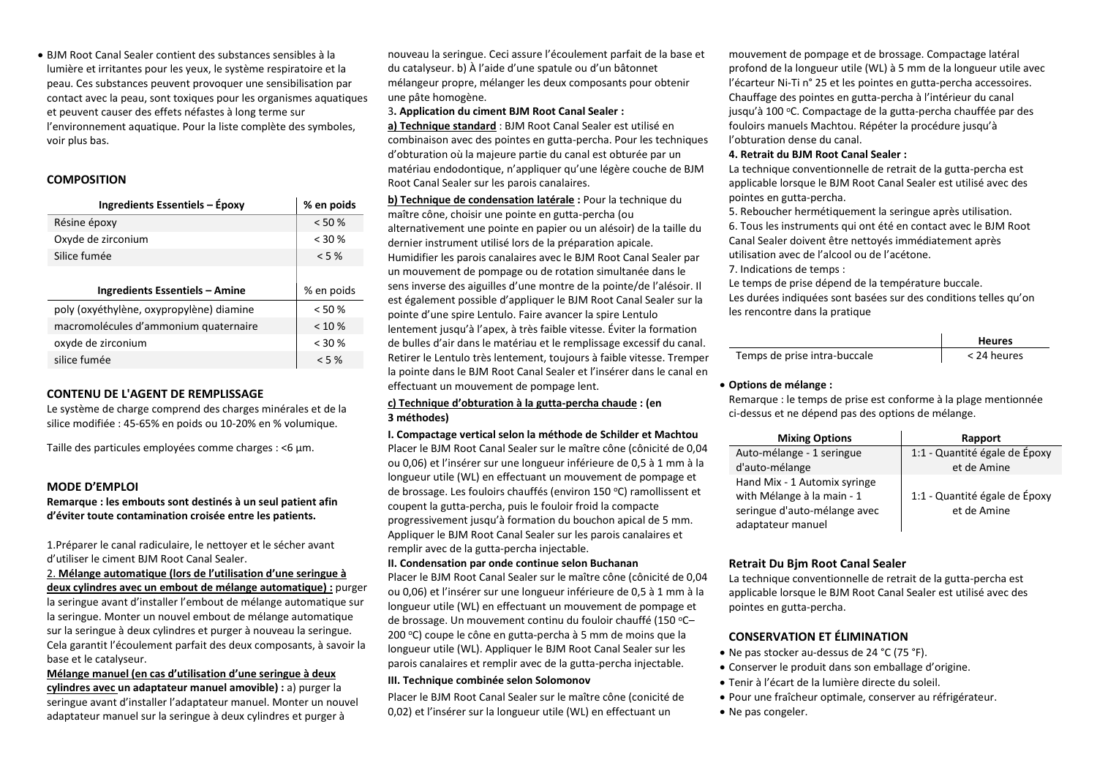• BJM Root Canal Sealer contient des substances sensibles à la lumière et irritantes pour les yeux, le système respiratoire et la peau. Ces substances peuvent provoquer une sensibilisation par contact avec la peau, sont toxiques pour les organismes aquatiques et peuvent causer des effets néfastes à long terme sur l'environnement aquatique. Pour la liste complète des symboles, voir plus bas.

## **COMPOSITION**

| Ingredients Essentiels - Époxy           | % en poids |
|------------------------------------------|------------|
| Résine époxy                             | < 50%      |
| Oxyde de zirconium                       | $<$ 30 %   |
| Silice fumée                             | $< 5 \%$   |
|                                          |            |
|                                          |            |
| Ingredients Essentiels – Amine           | % en poids |
| poly (oxyéthylène, oxypropylène) diamine | < 50%      |
| macromolécules d'ammonium quaternaire    | $< 10 \%$  |
| oxyde de zirconium                       | $<$ 30 %   |

## **CONTENU DE L'AGENT DE REMPLISSAGE**

Le système de charge comprend des charges minérales et de la silice modifiée : 45-65% en poids ou 10-20% en % volumique.

Taille des particules employées comme charges : <6 µm.

## **MODE D'EMPLOI**

**Remarque : les embouts sont destinés à un seul patient afin d'éviter toute contamination croisée entre les patients.**

1.Préparer le canal radiculaire, le nettoyer et le sécher avant d'utiliser le ciment BJM Root Canal Sealer.

## 2. **Mélange automatique (lors de l'utilisation d'une seringue à deux cylindres avec un embout de mélange automatique) :** purger

la seringue avant d'installer l'embout de mélange automatique sur la seringue. Monter un nouvel embout de mélange automatique sur la seringue à deux cylindres et purger à nouveau la seringue. Cela garantit l'écoulement parfait des deux composants, à savoir la base et le catalyseur.

**Mélange manuel (en cas d'utilisation d'une seringue à deux cylindres avec un adaptateur manuel amovible) :** a) purger la seringue avant d'installer l'adaptateur manuel. Monter un nouvel adaptateur manuel sur la seringue à deux cylindres et purger à

nouveau la seringue. Ceci assure l'écoulement parfait de la base et du catalyseur. b) À l'aide d'une spatule ou d'un bâtonnet mélangeur propre, mélanger les deux composants pour obtenir une pâte homogène.

#### 3**. Application du ciment BJM Root Canal Sealer :**

**a) Technique standard** : BJM Root Canal Sealer est utilisé en combinaison avec des pointes en gutta-percha. Pour les techniques d'obturation où la majeure partie du canal est obturée par un matériau endodontique, n'appliquer qu'une légère couche de BJM Root Canal Sealer sur les parois canalaires.

**b) Technique de condensation latérale :** Pour la technique du maître cône, choisir une pointe en gutta-percha (ou alternativement une pointe en papier ou un alésoir) de la taille du dernier instrument utilisé lors de la préparation apicale. Humidifier les parois canalaires avec le BJM Root Canal Sealer par un mouvement de pompage ou de rotation simultanée dans le sens inverse des aiguilles d'une montre de la pointe/de l'alésoir. Il est également possible d'appliquer le BJM Root Canal Sealer sur la pointe d'une spire Lentulo. Faire avancer la spire Lentulo lentement jusqu'à l'apex, à très faible vitesse. Éviter la formation de bulles d'air dans le matériau et le remplissage excessif du canal. Retirer le Lentulo très lentement, toujours à faible vitesse. Tremper la pointe dans le BJM Root Canal Sealer et l'insérer dans le canal en effectuant un mouvement de pompage lent.

#### **c) Technique d'obturation à la gutta-percha chaude : (en 3 méthodes)**

#### **I. Compactage vertical selon la méthode de Schilder et Machtou**

Placer le BJM Root Canal Sealer sur le maître cône (cônicité de 0,04 ou 0,06) et l'insérer sur une longueur inférieure de 0,5 à 1 mm à la longueur utile (WL) en effectuant un mouvement de pompage et de brossage. Les fouloirs chauffés (environ 150 <sup>o</sup>C) ramollissent et coupent la gutta-percha, puis le fouloir froid la compacte progressivement jusqu'à formation du bouchon apical de 5 mm. Appliquer le BJM Root Canal Sealer sur les parois canalaires et remplir avec de la gutta-percha injectable.

#### **II. Condensation par onde continue selon Buchanan**

Placer le BJM Root Canal Sealer sur le maître cône (cônicité de 0,04 ou 0,06) et l'insérer sur une longueur inférieure de 0,5 à 1 mm à la longueur utile (WL) en effectuant un mouvement de pompage et de brossage. Un mouvement continu du fouloir chauffé (150 °C-200 °C) coupe le cône en gutta-percha à 5 mm de moins que la longueur utile (WL). Appliquer le BJM Root Canal Sealer sur les parois canalaires et remplir avec de la gutta-percha injectable.

#### **III. Technique combinée selon Solomonov**

Placer le BJM Root Canal Sealer sur le maître cône (conicité de 0,02) et l'insérer sur la longueur utile (WL) en effectuant un

mouvement de pompage et de brossage. Compactage latéral profond de la longueur utile (WL) à 5 mm de la longueur utile avec l'écarteur Ni-Ti n° 25 et les pointes en gutta-percha accessoires. Chauffage des pointes en gutta-percha à l'intérieur du canal jusqu'à 100 °C. Compactage de la gutta-percha chauffée par des fouloirs manuels Machtou. Répéter la procédure jusqu'à l'obturation dense du canal.

#### **4. Retrait du BJM Root Canal Sealer :**

La technique conventionnelle de retrait de la gutta-percha est applicable lorsque le BJM Root Canal Sealer est utilisé avec des pointes en gutta-percha.

5. Reboucher hermétiquement la seringue après utilisation. 6. Tous les instruments qui ont été en contact avec le BJM Root Canal Sealer doivent être nettoyés immédiatement après utilisation avec de l'alcool ou de l'acétone.

## 7. Indications de temps :

Le temps de prise dépend de la température buccale. Les durées indiquées sont basées sur des conditions telles qu'on les rencontre dans la pratique

|                              | <b>Heures</b> |
|------------------------------|---------------|
| Temps de prise intra-buccale | < 24 heures   |

#### • **Options de mélange :**

Remarque : le temps de prise est conforme à la plage mentionnée ci-dessus et ne dépend pas des options de mélange.

| <b>Mixing Options</b>        | Rapport                       |
|------------------------------|-------------------------------|
| Auto-mélange - 1 seringue    | 1:1 - Quantité égale de Époxy |
| d'auto-mélange               | et de Amine                   |
| Hand Mix - 1 Automix syringe |                               |
| with Mélange à la main - 1   | 1:1 - Quantité égale de Époxy |
| seringue d'auto-mélange avec | et de Amine                   |
| adaptateur manuel            |                               |

## **Retrait Du Bjm Root Canal Sealer**

La technique conventionnelle de retrait de la gutta-percha est applicable lorsque le BJM Root Canal Sealer est utilisé avec des pointes en gutta-percha.

## **CONSERVATION ET ÉLIMINATION**

- Ne pas stocker au-dessus de 24 °C (75 °F).
- Conserver le produit dans son emballage d'origine.
- Tenir à l'écart de la lumière directe du soleil.
- Pour une fraîcheur optimale, conserver au réfrigérateur.
- Ne pas congeler.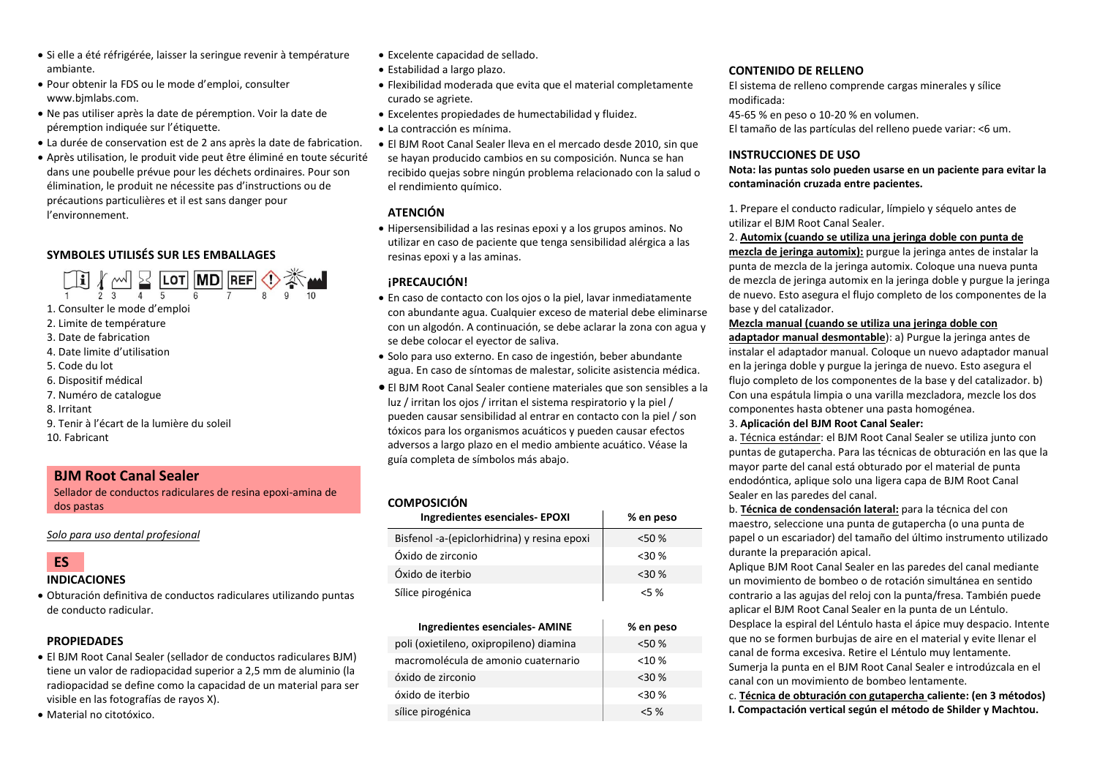- Si elle a été réfrigérée, laisser la seringue revenir à température ambiante.
- Pour obtenir la FDS ou le mode d'emploi, consulter www.bjmlabs.com.
- Ne pas utiliser après la date de péremption. Voir la date de péremption indiquée sur l'étiquette.
- La durée de conservation est de 2 ans après la date de fabrication.
- Après utilisation, le produit vide peut être éliminé en toute sécurité dans une poubelle prévue pour les déchets ordinaires. Pour son élimination, le produit ne nécessite pas d'instructions ou de précautions particulières et il est sans danger pour l'environnement.

## **SYMBOLES UTILISÉS SUR LES EMBALLAGES**

 $\begin{array}{c} \begin{array}{c} \begin{array}{c} \end{array} \\ \begin{array}{c} \end{array} \\ \begin{array}{c} \end{array} \\ \begin{array}{c} \end{array} \\ \begin{array}{c} \end{array} \\ \begin{array}{c} \end{array} \\ \begin{array}{c} \end{array} \\ \begin{array}{c} \end{array} \\ \begin{array}{c} \end{array} \\ \begin{array}{c} \end{array} \\ \begin{array}{c} \end{array} \\ \begin{array}{c} \end{array} \\ \begin{array}{c} \end{array} \\ \begin{array}{c} \end{array} \\ \begin{array}{c} \end{array} \\ \begin{array}{c} \end{array$ 

- 1. Consulter le mode d'emploi
- 2. Limite de température
- 3. Date de fabrication
- 4. Date limite d'utilisation
- 5. Code du lot
- 6. Dispositif médical
- 7. Numéro de catalogue
- 8. Irritant
- 9. Tenir à l'écart de la lumière du soleil
- 10. Fabricant

## **BJM Root Canal Sealer**

Sellador de conductos radiculares de resina epoxi-amina de dos pastas

*Solo para uso dental profesional*

# **ES**

## **INDICACIONES**

• Obturación definitiva de conductos radiculares utilizando puntas de conducto radicular.

## **PROPIEDADES**

- El BJM Root Canal Sealer (sellador de conductos radiculares BJM) tiene un valor de radiopacidad superior a 2,5 mm de aluminio (la radiopacidad se define como la capacidad de un material para ser visible en las fotografías de rayos X).
- Material no citotóxico.
- Excelente capacidad de sellado.
- Estabilidad a largo plazo.
- Flexibilidad moderada que evita que el material completamente curado se agriete.
- Excelentes propiedades de humectabilidad y fluidez.
- La contracción es mínima.
- El BJM Root Canal Sealer lleva en el mercado desde 2010, sin que se hayan producido cambios en su composición. Nunca se han recibido quejas sobre ningún problema relacionado con la salud o el rendimiento químico.

## **ATENCIÓN**

• Hipersensibilidad a las resinas epoxi y a los grupos aminos. No utilizar en caso de paciente que tenga sensibilidad alérgica a las resinas epoxi y a las aminas.

## **¡PRECAUCIÓN!**

- En caso de contacto con los ojos o la piel, lavar inmediatamente con abundante agua. Cualquier exceso de material debe eliminarse con un algodón. A continuación, se debe aclarar la zona con agua y se debe colocar el eyector de saliva.
- Solo para uso externo. En caso de ingestión, beber abundante agua. En caso de síntomas de malestar, solicite asistencia médica.
- El BJM Root Canal Sealer contiene materiales que son sensibles a la luz / irritan los ojos / irritan el sistema respiratorio y la piel / pueden causar sensibilidad al entrar en contacto con la piel / son tóxicos para los organismos acuáticos y pueden causar efectos adversos a largo plazo en el medio ambiente acuático. Véase la guía completa de símbolos más abajo.

## **COMPOSICIÓN**

| Ingredientes esenciales- EPOXI              | % en peso  |
|---------------------------------------------|------------|
| Bisfenol -a-(epiclorhidrina) y resina epoxi | $<$ 50 $%$ |
| Óxido de zirconio                           | $<30\%$    |
| Óxido de iterbio                            | $<$ 30 %   |
| Sílice pirogénica                           | 55%        |

| <b>Ingredientes esenciales- AMINE</b>   | % en peso |
|-----------------------------------------|-----------|
| poli (oxietileno, oxipropileno) diamina | < 50%     |
| macromolécula de amonio cuaternario     | $< 10 \%$ |
| óxido de zirconio                       | $<$ 30 %  |
| óxido de iterbio                        | $<$ 30 %  |
| sílice pirogénica                       | $< 5 \%$  |

## **CONTENIDO DE RELLENO**

El sistema de relleno comprende cargas minerales y sílice modificada: 45-65 % en peso o 10-20 % en volumen.

El tamaño de las partículas del relleno puede variar: <6 um.

## **INSTRUCCIONES DE USO**

**Nota: las puntas solo pueden usarse en un paciente para evitar la contaminación cruzada entre pacientes.**

1. Prepare el conducto radicular, límpielo y séquelo antes de utilizar el BJM Root Canal Sealer.

#### 2. **Automix (cuando se utiliza una jeringa doble con punta de**

**mezcla de jeringa automix):** purgue la jeringa antes de instalar la punta de mezcla de la jeringa automix. Coloque una nueva punta de mezcla de jeringa automix en la jeringa doble y purgue la jeringa de nuevo. Esto asegura el flujo completo de los componentes de la base y del catalizador.

#### **Mezcla manual (cuando se utiliza una jeringa doble con**

**adaptador manual desmontable**): a) Purgue la jeringa antes de instalar el adaptador manual. Coloque un nuevo adaptador manual en la jeringa doble y purgue la jeringa de nuevo. Esto asegura el flujo completo de los componentes de la base y del catalizador. b) Con una espátula limpia o una varilla mezcladora, mezcle los dos componentes hasta obtener una pasta homogénea.

#### 3. **Aplicación del BJM Root Canal Sealer:**

a. Técnica estándar: el BJM Root Canal Sealer se utiliza junto con puntas de gutapercha. Para las técnicas de obturación en las que la mayor parte del canal está obturado por el material de punta endodóntica, aplique solo una ligera capa de BJM Root Canal Sealer en las paredes del canal.

b. **Técnica de condensación lateral:** para la técnica del con maestro, seleccione una punta de gutapercha (o una punta de papel o un escariador) del tamaño del último instrumento utilizado durante la preparación apical.

Aplique BJM Root Canal Sealer en las paredes del canal mediante un movimiento de bombeo o de rotación simultánea en sentido contrario a las agujas del reloj con la punta/fresa. También puede aplicar el BJM Root Canal Sealer en la punta de un Léntulo. Desplace la espiral del Léntulo hasta el ápice muy despacio. Intente que no se formen burbujas de aire en el material y evite llenar el canal de forma excesiva. Retire el Léntulo muy lentamente. Sumerja la punta en el BJM Root Canal Sealer e introdúzcala en el canal con un movimiento de bombeo lentamente.

c. **Técnica de obturación con gutapercha caliente: (en 3 métodos) I. Compactación vertical según el método de Shilder y Machtou.**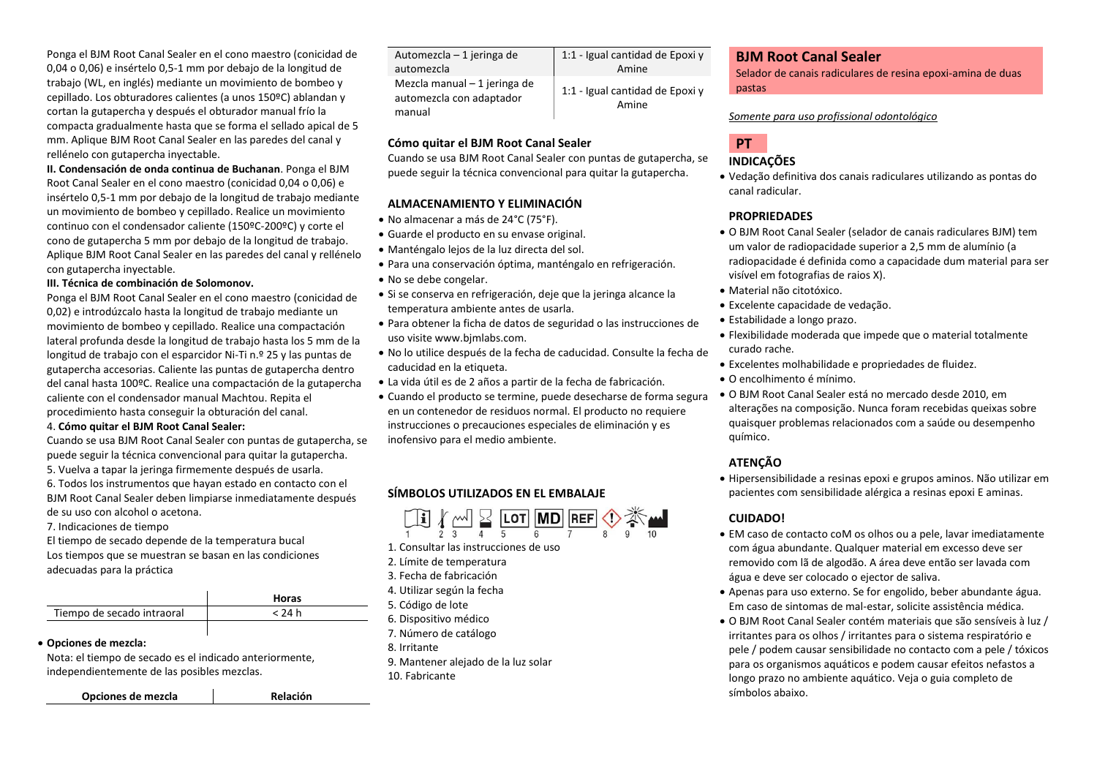Ponga el BJM Root Canal Sealer en el cono maestro (conicidad de 0,04 o 0,06) e insértelo 0,5-1 mm por debajo de la longitud de trabajo (WL, en inglés) mediante un movimiento de bombeo y cepillado. Los obturadores calientes (a unos 150ºC) ablandan y cortan la gutapercha y después el obturador manual frío la compacta gradualmente hasta que se forma el sellado apical de 5 mm. Aplique BJM Root Canal Sealer en las paredes del canal y rellénelo con gutapercha inyectable.

**II. Condensación de onda continua de Buchanan**. Ponga el BJM Root Canal Sealer en el cono maestro (conicidad 0,04 o 0,06) e insértelo 0,5-1 mm por debajo de la longitud de trabajo mediante un movimiento de bombeo y cepillado. Realice un movimiento continuo con el condensador caliente (150ºC-200ºC) y corte el cono de gutapercha 5 mm por debajo de la longitud de trabajo. Aplique BJM Root Canal Sealer en las paredes del canal y rellénelo con gutapercha inyectable.

#### **III. Técnica de combinación de Solomonov.**

Ponga el BJM Root Canal Sealer en el cono maestro (conicidad de 0,02) e introdúzcalo hasta la longitud de trabajo mediante un movimiento de bombeo y cepillado. Realice una compactación lateral profunda desde la longitud de trabajo hasta los 5 mm de la longitud de trabajo con el esparcidor Ni-Ti n.º 25 y las puntas de gutapercha accesorias. Caliente las puntas de gutapercha dentro del canal hasta 100ºC. Realice una compactación de la gutapercha caliente con el condensador manual Machtou. Repita el procedimiento hasta conseguir la obturación del canal.

#### 4. **Cómo quitar el BJM Root Canal Sealer:**

Cuando se usa BJM Root Canal Sealer con puntas de gutapercha, se puede seguir la técnica convencional para quitar la gutapercha. 5. Vuelva a tapar la jeringa firmemente después de usarla. 6. Todos los instrumentos que hayan estado en contacto con el BJM Root Canal Sealer deben limpiarse inmediatamente después de su uso con alcohol o acetona.

7. Indicaciones de tiempo

El tiempo de secado depende de la temperatura bucal Los tiempos que se muestran se basan en las condiciones adecuadas para la práctica

|                            | <b>Horas</b> |
|----------------------------|--------------|
| Tiempo de secado intraoral | < 24 h       |
|                            |              |

## • **Opciones de mezcla:**

Nota: el tiempo de secado es el indicado anteriormente, independientemente de las posibles mezclas.

**Opciones de mezcla Relación**

| Automezcla – 1 jeringa de<br>automezcla                             | 1:1 - Igual cantidad de Epoxi y<br>Amine |
|---------------------------------------------------------------------|------------------------------------------|
| Mezcla manual $-1$ jeringa de<br>automezcla con adaptador<br>manual | 1:1 - Igual cantidad de Epoxi y<br>Amine |

## **Cómo quitar el BJM Root Canal Sealer**

Cuando se usa BJM Root Canal Sealer con puntas de gutapercha, se puede seguir la técnica convencional para quitar la gutapercha.

## **ALMACENAMIENTO Y ELIMINACIÓN**

- No almacenar a más de 24°C (75°F).
- Guarde el producto en su envase original.
- Manténgalo lejos de la luz directa del sol.
- Para una conservación óptima, manténgalo en refrigeración.
- No se debe congelar.
- Si se conserva en refrigeración, deje que la jeringa alcance la temperatura ambiente antes de usarla.
- Para obtener la ficha de datos de seguridad o las instrucciones de uso visite www.bjmlabs.com.
- No lo utilice después de la fecha de caducidad. Consulte la fecha de caducidad en la etiqueta.
- La vida útil es de 2 años a partir de la fecha de fabricación.
- Cuando el producto se termine, puede desecharse de forma segura en un contenedor de residuos normal. El producto no requiere instrucciones o precauciones especiales de eliminación y es inofensivo para el medio ambiente.

## **SÍMBOLOS UTILIZADOS EN EL EMBALAJE**



- 1. Consultar las instrucciones de uso
- 2. Límite de temperatura
- 3. Fecha de fabricación
- 4. Utilizar según la fecha
- 5. Código de lote
- 6. Dispositivo médico
- 7. Número de catálogo
- 8. Irritante
- 9. Mantener alejado de la luz solar 10. Fabricante

## **BJM Root Canal Sealer**

Selador de canais radiculares de resina epoxi-amina de duas pastas

## *Somente para uso profissional odontológico*

# **PT**

## **INDICAÇÕES**

• Vedação definitiva dos canais radiculares utilizando as pontas do canal radicular.

## **PROPRIEDADES**

- O BJM Root Canal Sealer (selador de canais radiculares BJM) tem um valor de radiopacidade superior a 2,5 mm de alumínio (a radiopacidade é definida como a capacidade dum material para ser visível em fotografias de raios X).
- Material não citotóxico.
- Excelente capacidade de vedação.
- Estabilidade a longo prazo.
- Flexibilidade moderada que impede que o material totalmente curado rache.
- Excelentes molhabilidade e propriedades de fluidez.
- O encolhimento é mínimo.
- O BJM Root Canal Sealer está no mercado desde 2010, em alterações na composição. Nunca foram recebidas queixas sobre quaisquer problemas relacionados com a saúde ou desempenho químico.

## **ATENÇÃO**

• Hipersensibilidade a resinas epoxi e grupos aminos. Não utilizar em pacientes com sensibilidade alérgica a resinas epoxi E aminas.

## **CUIDADO!**

- EM caso de contacto coM os olhos ou a pele, lavar imediatamente com água abundante. Qualquer material em excesso deve ser removido com lã de algodão. A área deve então ser lavada com água e deve ser colocado o ejector de saliva.
- Apenas para uso externo. Se for engolido, beber abundante água. Em caso de sintomas de mal-estar, solicite assistência médica.
- O BJM Root Canal Sealer contém materiais que são sensíveis à luz / irritantes para os olhos / irritantes para o sistema respiratório e pele / podem causar sensibilidade no contacto com a pele / tóxicos para os organismos aquáticos e podem causar efeitos nefastos a longo prazo no ambiente aquático. Veja o guia completo de símbolos abaixo.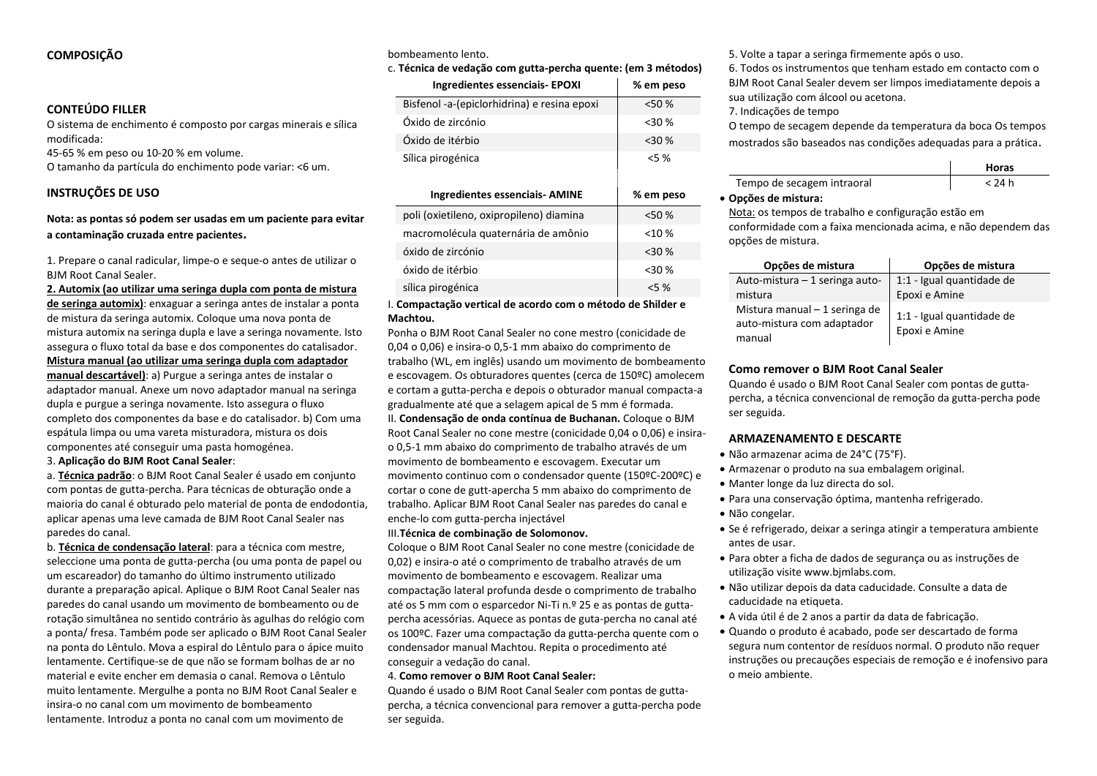## **COMPOSIÇÃO**

## **CONTEÚDO FILLER**

O sistema de enchimento é composto por cargas minerais e sílica modificada:

45-65 % em peso ou 10-20 % em volume.

O tamanho da partícula do enchimento pode variar: <6 um.

## **INSTRUÇÕES DE USO**

## **Nota: as pontas só podem ser usadas em um paciente para evitar a contaminação cruzada entre pacientes.**

1. Prepare o canal radicular, limpe-o e seque-o antes de utilizar o BJM Root Canal Sealer.

**2. Automix (ao utilizar uma seringa dupla com ponta de mistura de seringa automix)**: enxaguar a seringa antes de instalar a ponta de mistura da seringa automix. Coloque uma nova ponta de mistura automix na seringa dupla e lave a seringa novamente. Isto assegura o fluxo total da base e dos componentes do catalisador. **Mistura manual (ao utilizar uma seringa dupla com adaptador manual descartável)**: a) Purgue a seringa antes de instalar o adaptador manual. Anexe um novo adaptador manual na seringa dupla e purgue a seringa novamente. Isto assegura o fluxo completo dos componentes da base e do catalisador. b) Com uma espátula limpa ou uma vareta misturadora, mistura os dois

componentes até conseguir uma pasta homogénea.

3. **Aplicação do BJM Root Canal Sealer**:

a. **Técnica padrão**: o BJM Root Canal Sealer é usado em conjunto com pontas de gutta-percha. Para técnicas de obturação onde a maioria do canal é obturado pelo material de ponta de endodontia, aplicar apenas uma leve camada de BJM Root Canal Sealer nas paredes do canal.

b. **Técnica de condensação lateral**: para a técnica com mestre, seleccione uma ponta de gutta-percha (ou uma ponta de papel ou um escareador) do tamanho do último instrumento utilizado durante a preparação apical. Aplique o BJM Root Canal Sealer nas paredes do canal usando um movimento de bombeamento ou de rotação simultânea no sentido contrário às agulhas do relógio com a ponta/ fresa. Também pode ser aplicado o BJM Root Canal Sealer na ponta do Lêntulo. Mova a espiral do Lêntulo para o ápice muito lentamente. Certifique-se de que não se formam bolhas de ar no material e evite encher em demasia o canal. Remova o Lêntulo muito lentamente. Mergulhe a ponta no BJM Root Canal Sealer e insira-o no canal com um movimento de bombeamento lentamente. Introduz a ponta no canal com um movimento de

#### bombeamento lento.

#### c. **Técnica de vedação com gutta-percha quente: (em 3 métodos)**

| Techne de Vedação com guita-percha quente. Tem o metodos, |           |  |
|-----------------------------------------------------------|-----------|--|
| <b>Ingredientes essenciais- EPOXI</b>                     | % em peso |  |
| Bisfenol -a-(epiclorhidrina) e resina epoxi               | <50 %     |  |
| Óxido de zircónio                                         | $30$ %    |  |
| Óxido de itérbio                                          | $<$ 30 %  |  |
| Sílica pirogénica                                         | $5\%$     |  |
|                                                           |           |  |
|                                                           |           |  |
| <b>Ingredientes essenciais- AMINE</b>                     | % em peso |  |
| poli (oxietileno, oxipropileno) diamina                   | < 50%     |  |
| macromolécula quaternária de amônio                       | < 10%     |  |
| óxido de zircónio                                         | $30$ %    |  |
| óxido de itérbio                                          | $30$ %    |  |
| sílica pirogénica                                         | $5\%$     |  |

I. **Compactação vertical de acordo com o método de Shilder e Machtou.** 

Ponha o BJM Root Canal Sealer no cone mestro (conicidade de 0,04 o 0,06) e insira-o 0,5-1 mm abaixo do comprimento de trabalho (WL, em inglês) usando um movimento de bombeamento e escovagem. Os obturadores quentes (cerca de 150ºC) amolecem e cortam a gutta-percha e depois o obturador manual compacta-a gradualmente até que a selagem apical de 5 mm é formada. II. **Condensação de onda contínua de Buchanan.** Coloque o BJM Root Canal Sealer no cone mestre (conicidade 0,04 o 0,06) e insirao 0,5-1 mm abaixo do comprimento de trabalho através de um movimento de bombeamento e escovagem. Executar um movimento continuo com o condensador quente (150ºC-200ºC) e cortar o cone de gutt-apercha 5 mm abaixo do comprimento de trabalho. Aplicar BJM Root Canal Sealer nas paredes do canal e enche-lo com gutta-percha injectável

## III.**Técnica de combinação de Solomonov.**

Coloque o BJM Root Canal Sealer no cone mestre (conicidade de 0,02) e insira-o até o comprimento de trabalho através de um movimento de bombeamento e escovagem. Realizar uma compactação lateral profunda desde o comprimento de trabalho até os 5 mm com o esparcedor Ni-Ti n.º 25 e as pontas de guttapercha acessórias. Aquece as pontas de guta-percha no canal até os 100ºC. Fazer uma compactação da gutta-percha quente com o condensador manual Machtou. Repita o procedimento até conseguir a vedação do canal.

#### 4. **Como remover o BJM Root Canal Sealer:**

Quando é usado o BJM Root Canal Sealer com pontas de guttapercha, a técnica convencional para remover a gutta-percha pode ser seguida.

5. Volte a tapar a seringa firmemente após o uso.

6. Todos os instrumentos que tenham estado em contacto com o BJM Root Canal Sealer devem ser limpos imediatamente depois a sua utilização com álcool ou acetona.

7. Indicações de tempo

O tempo de secagem depende da temperatura da boca Os tempos mostrados são baseados nas condições adequadas para a prática.

|                            | Horas  |
|----------------------------|--------|
| Tempo de secagem intraoral | < 24 h |
| . ~                        |        |

#### • **Opções de mistura:**

Nota: os tempos de trabalho e configuração estão em conformidade com a faixa mencionada acima, e não dependem das opções de mistura.

| Opções de mistura                                                     | Opções de mistura                          |
|-----------------------------------------------------------------------|--------------------------------------------|
| Auto-mistura - 1 seringa auto-                                        | 1:1 - Igual quantidade de                  |
| mistura                                                               | Epoxi e Amine                              |
| Mistura manual - 1 seringa de<br>auto-mistura com adaptador<br>manual | 1:1 - Igual quantidade de<br>Epoxi e Amine |

#### **Como remover o BJM Root Canal Sealer**

Quando é usado o BJM Root Canal Sealer com pontas de guttapercha, a técnica convencional de remoção da gutta-percha pode ser seguida.

## **ARMAZENAMENTO E DESCARTE**

- Não armazenar acima de 24°C (75°F).
- Armazenar o produto na sua embalagem original.
- Manter longe da luz directa do sol.
- Para una conservação óptima, mantenha refrigerado.
- Não congelar.
- Se é refrigerado, deixar a seringa atingir a temperatura ambiente antes de usar.
- Para obter a ficha de dados de segurança ou as instruções de utilização visite www.bjmlabs.com.
- Não utilizar depois da data caducidade. Consulte a data de caducidade na etiqueta.
- A vida útil é de 2 anos a partir da data de fabricação.
- Quando o produto é acabado, pode ser descartado de forma segura num contentor de resíduos normal. O produto não requer instruções ou precauções especiais de remoção e é inofensivo para o meio ambiente.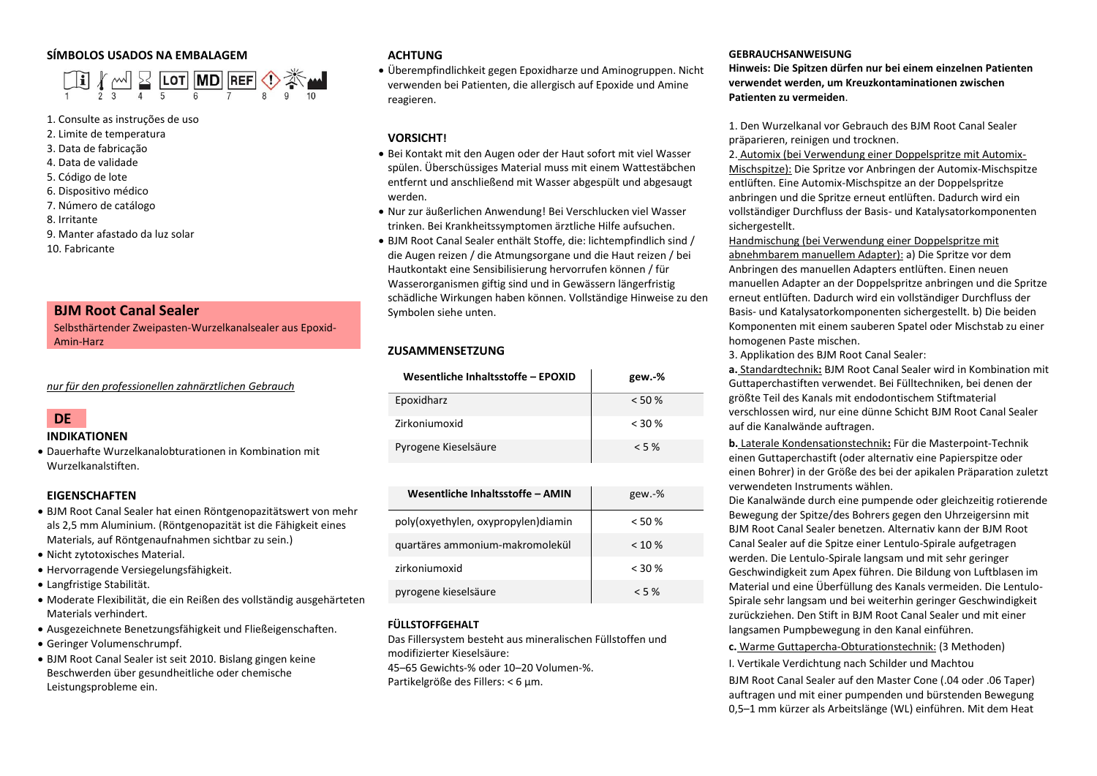## **SÍMBOLOS USADOS NA EMBALAGEM**



#### 1. Consulte as instruções de uso

- 2. Limite de temperatura
- 3. Data de fabricação
- 4. Data de validade
- 5. Código de lote
- 6. Dispositivo médico
- 7. Número de catálogo
- 8. Irritante
- 9. Manter afastado da luz solar
- 10. Fabricante

## **BJM Root Canal Sealer**

Selbsthärtender Zweipasten-Wurzelkanalsealer aus Epoxid-Amin-Harz

*nur für den professionellen zahnärztlichen Gebrauch*

# **DE**

#### **INDIKATIONEN**

• Dauerhafte Wurzelkanalobturationen in Kombination mit Wurzelkanalstiften.

## **EIGENSCHAFTEN**

- BJM Root Canal Sealer hat einen Röntgenopazitätswert von mehr als 2,5 mm Aluminium. (Röntgenopazität ist die Fähigkeit eines Materials, auf Röntgenaufnahmen sichtbar zu sein.)
- Nicht zytotoxisches Material.
- Hervorragende Versiegelungsfähigkeit.
- Langfristige Stabilität.
- Moderate Flexibilität, die ein Reißen des vollständig ausgehärteten Materials verhindert.
- Ausgezeichnete Benetzungsfähigkeit und Fließeigenschaften.
- Geringer Volumenschrumpf.
- BJM Root Canal Sealer ist seit 2010. Bislang gingen keine Beschwerden über gesundheitliche oder chemische Leistungsprobleme ein.

## **ACHTUNG**

• Überempfindlichkeit gegen Epoxidharze und Aminogruppen. Nicht verwenden bei Patienten, die allergisch auf Epoxide und Amine reagieren.

## **VORSICHT!**

- Bei Kontakt mit den Augen oder der Haut sofort mit viel Wasser spülen. Überschüssiges Material muss mit einem Wattestäbchen entfernt und anschließend mit Wasser abgespült und abgesaugt werden.
- Nur zur äußerlichen Anwendung! Bei Verschlucken viel Wasser trinken. Bei Krankheitssymptomen ärztliche Hilfe aufsuchen.
- BJM Root Canal Sealer enthält Stoffe, die: lichtempfindlich sind / die Augen reizen / die Atmungsorgane und die Haut reizen / bei Hautkontakt eine Sensibilisierung hervorrufen können / für Wasserorganismen giftig sind und in Gewässern längerfristig schädliche Wirkungen haben können. Vollständige Hinweise zu den Symbolen siehe unten.

## **ZUSAMMENSETZUNG**

| Wesentliche Inhaltsstoffe - EPOXID | gew.-%   |
|------------------------------------|----------|
| Epoxidharz                         | < 50%    |
| Zirkoniumoxid                      | $<$ 30 % |
| Pyrogene Kieselsäure               | $< 5 \%$ |

| Wesentliche Inhaltsstoffe - AMIN    | $gew.-%$  |
|-------------------------------------|-----------|
| poly(oxyethylen, oxypropylen)diamin | < 50%     |
| quartäres ammonium-makromolekül     | $< 10 \%$ |
| zirkoniumoxid                       | $<$ 30 %  |
| pyrogene kieselsäure                | $< 5 \%$  |

## **FÜLLSTOFFGEHALT**

Das Fillersystem besteht aus mineralischen Füllstoffen und modifizierter Kieselsäure:

45–65 Gewichts-% oder 10–20 Volumen-%. Partikelgröße des Fillers: < 6 µm.

## **GEBRAUCHSANWEISUNG**

**Hinweis: Die Spitzen dürfen nur bei einem einzelnen Patienten verwendet werden, um Kreuzkontaminationen zwischen Patienten zu vermeiden**.

1. Den Wurzelkanal vor Gebrauch des BJM Root Canal Sealer präparieren, reinigen und trocknen.

2. Automix (bei Verwendung einer Doppelspritze mit Automix-Mischspitze): Die Spritze vor Anbringen der Automix-Mischspitze entlüften. Eine Automix-Mischspitze an der Doppelspritze anbringen und die Spritze erneut entlüften. Dadurch wird ein vollständiger Durchfluss der Basis- und Katalysatorkomponenten sichergestellt.

Handmischung (bei Verwendung einer Doppelspritze mit abnehmbarem manuellem Adapter): a) Die Spritze vor dem Anbringen des manuellen Adapters entlüften. Einen neuen manuellen Adapter an der Doppelspritze anbringen und die Spritze erneut entlüften. Dadurch wird ein vollständiger Durchfluss der Basis- und Katalysatorkomponenten sichergestellt. b) Die beiden Komponenten mit einem sauberen Spatel oder Mischstab zu einer homogenen Paste mischen.

3. Applikation des BJM Root Canal Sealer:

**a.** Standardtechnik**:** BJM Root Canal Sealer wird in Kombination mit Guttaperchastiften verwendet. Bei Fülltechniken, bei denen der größte Teil des Kanals mit endodontischem Stiftmaterial verschlossen wird, nur eine dünne Schicht BJM Root Canal Sealer auf die Kanalwände auftragen.

**b.** Laterale Kondensationstechnik**:** Für die Masterpoint-Technik einen Guttaperchastift (oder alternativ eine Papierspitze oder einen Bohrer) in der Größe des bei der apikalen Präparation zuletzt verwendeten Instruments wählen.

Die Kanalwände durch eine pumpende oder gleichzeitig rotierende Bewegung der Spitze/des Bohrers gegen den Uhrzeigersinn mit BJM Root Canal Sealer benetzen. Alternativ kann der BJM Root Canal Sealer auf die Spitze einer Lentulo-Spirale aufgetragen werden. Die Lentulo-Spirale langsam und mit sehr geringer Geschwindigkeit zum Apex führen. Die Bildung von Luftblasen im Material und eine Überfüllung des Kanals vermeiden. Die Lentulo-Spirale sehr langsam und bei weiterhin geringer Geschwindigkeit zurückziehen. Den Stift in BJM Root Canal Sealer und mit einer langsamen Pumpbewegung in den Kanal einführen.

**c.** Warme Guttapercha-Obturationstechnik: (3 Methoden)

I. Vertikale Verdichtung nach Schilder und Machtou

BJM Root Canal Sealer auf den Master Cone (.04 oder .06 Taper) auftragen und mit einer pumpenden und bürstenden Bewegung 0,5–1 mm kürzer als Arbeitslänge (WL) einführen. Mit dem Heat